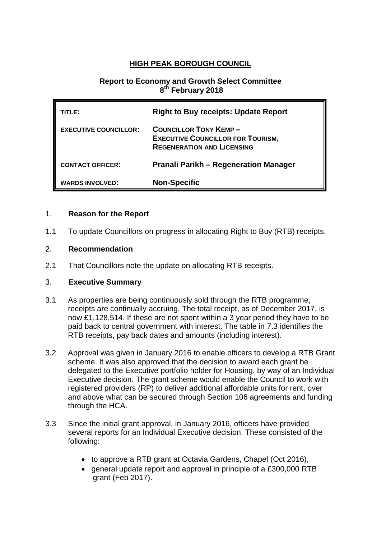# **HIGH PEAK BOROUGH COUNCIL**

# **Report to Economy and Growth Select Committee 8 th February 2018**

| TITLE: I                     | <b>Right to Buy receipts: Update Report</b>                                                                   |  |  |
|------------------------------|---------------------------------------------------------------------------------------------------------------|--|--|
| <b>EXECUTIVE COUNCILLOR:</b> | <b>COUNCILLOR TONY KEMP-</b><br><b>EXECUTIVE COUNCILLOR FOR TOURISM,</b><br><b>REGENERATION AND LICENSING</b> |  |  |
| <b>CONTACT OFFICER:</b>      | <b>Pranali Parikh – Regeneration Manager</b>                                                                  |  |  |
| <b>WARDS INVOLVED:</b>       | <b>Non-Specific</b>                                                                                           |  |  |

# 1. **Reason for the Report**

1.1 To update Councillors on progress in allocating Right to Buy (RTB) receipts.

#### 2. **Recommendation**

2.1 That Councillors note the update on allocating RTB receipts.

#### 3. **Executive Summary**

- 3.1 As properties are being continuously sold through the RTB programme, receipts are continually accruing. The total receipt, as of December 2017, is now £1,128,514. If these are not spent within a 3 year period they have to be paid back to central government with interest. The table in 7.3 identifies the RTB receipts, pay back dates and amounts (including interest).
- 3.2 Approval was given in January 2016 to enable officers to develop a RTB Grant scheme. It was also approved that the decision to award each grant be delegated to the Executive portfolio holder for Housing, by way of an Individual Executive decision. The grant scheme would enable the Council to work with registered providers (RP) to deliver additional affordable units for rent, over and above what can be secured through Section 106 agreements and funding through the HCA.
- 3.3 Since the initial grant approval, in January 2016, officers have provided several reports for an Individual Executive decision. These consisted of the following:
	- to approve a RTB grant at Octavia Gardens, Chapel (Oct 2016),
	- general update report and approval in principle of a £300,000 RTB grant (Feb 2017).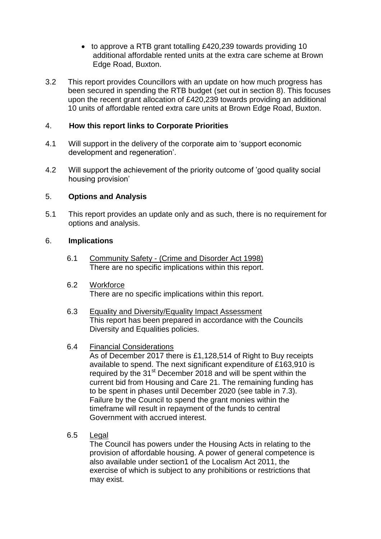- to approve a RTB grant totalling £420,239 towards providing 10 additional affordable rented units at the extra care scheme at Brown Edge Road, Buxton.
- 3.2 This report provides Councillors with an update on how much progress has been secured in spending the RTB budget (set out in section 8). This focuses upon the recent grant allocation of £420,239 towards providing an additional 10 units of affordable rented extra care units at Brown Edge Road, Buxton.

# 4. **How this report links to Corporate Priorities**

- 4.1 Will support in the delivery of the corporate aim to 'support economic development and regeneration'.
- 4.2 Will support the achievement of the priority outcome of 'good quality social housing provision'

#### 5. **Options and Analysis**

5.1 This report provides an update only and as such, there is no requirement for options and analysis.

#### 6. **Implications**

- 6.1 Community Safety (Crime and Disorder Act 1998) There are no specific implications within this report.
- 6.2 Workforce There are no specific implications within this report.
- 6.3 Equality and Diversity/Equality Impact Assessment This report has been prepared in accordance with the Councils Diversity and Equalities policies.

#### 6.4 Financial Considerations

As of December 2017 there is £1,128,514 of Right to Buy receipts available to spend. The next significant expenditure of £163,910 is required by the 31<sup>st</sup> December 2018 and will be spent within the current bid from Housing and Care 21. The remaining funding has to be spent in phases until December 2020 (see table in 7.3). Failure by the Council to spend the grant monies within the timeframe will result in repayment of the funds to central Government with accrued interest.

6.5 Legal

The Council has powers under the Housing Acts in relating to the provision of affordable housing. A power of general competence is also available under section1 of the Localism Act 2011, the exercise of which is subject to any prohibitions or restrictions that may exist.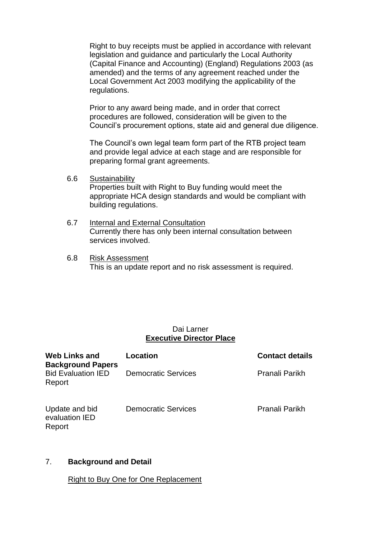Right to buy receipts must be applied in accordance with relevant legislation and guidance and particularly the Local Authority (Capital Finance and Accounting) (England) Regulations 2003 (as amended) and the terms of any agreement reached under the Local Government Act 2003 modifying the applicability of the regulations.

Prior to any award being made, and in order that correct procedures are followed, consideration will be given to the Council's procurement options, state aid and general due diligence.

The Council's own legal team form part of the RTB project team and provide legal advice at each stage and are responsible for preparing formal grant agreements.

- 6.6 Sustainability Properties built with Right to Buy funding would meet the appropriate HCA design standards and would be compliant with building regulations.
- 6.7 Internal and External Consultation Currently there has only been internal consultation between services involved.
- 6.8 Risk Assessment This is an update report and no risk assessment is required.

# Dai Larner **Executive Director Place**

| <b>Web Links and</b><br><b>Background Papers</b><br><b>Bid Evaluation IED</b><br>Report | Location                   | <b>Contact details</b> |
|-----------------------------------------------------------------------------------------|----------------------------|------------------------|
|                                                                                         | <b>Democratic Services</b> | Pranali Parikh         |
| Update and bid<br>evaluation IED<br>Report                                              | <b>Democratic Services</b> | Pranali Parikh         |

# 7. **Background and Detail**

Right to Buy One for One Replacement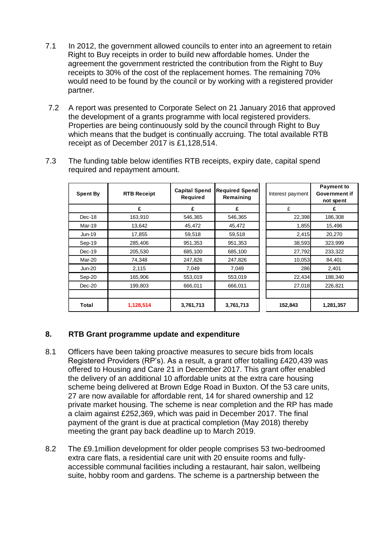- 7.1 In 2012, the government allowed councils to enter into an agreement to retain Right to Buy receipts in order to build new affordable homes. Under the agreement the government restricted the contribution from the Right to Buy receipts to 30% of the cost of the replacement homes. The remaining 70% would need to be found by the council or by working with a registered provider partner.
- 7.2 A report was presented to Corporate Select on 21 January 2016 that approved the development of a grants programme with local registered providers. Properties are being continuously sold by the council through Right to Buy which means that the budget is continually accruing. The total available RTB receipt as of December 2017 is £1,128,514.

| <b>Spent By</b> | <b>RTB Receipt</b> | <b>Capital Spend</b><br>Required | <b>Required Spend</b><br>Remaining | Interest payment | <b>Payment to</b><br><b>Government if</b><br>not spent |
|-----------------|--------------------|----------------------------------|------------------------------------|------------------|--------------------------------------------------------|
|                 | £                  | £                                | £                                  | £                | £                                                      |
| Dec-18          | 163,910            | 546,365                          | 546,365                            | 22,398           | 186,308                                                |
| Mar-19          | 13,642             | 45,472                           | 45,472                             | 1,855            | 15,496                                                 |
| Jun-19          | 17,855             | 59,518                           | 59,518                             | 2,415            | 20,270                                                 |
| Sep-19          | 285,406            | 951,353                          | 951,353                            | 38,593           | 323,999                                                |
| $Dec-19$        | 205,530            | 685,100                          | 685,100                            | 27,792           | 233,322                                                |
| Mar-20          | 74,348             | 247,826                          | 247,826                            | 10,053           | 84,401                                                 |
| <b>Jun-20</b>   | 2,115              | 7,049                            | 7,049                              | 286              | 2,401                                                  |
| Sep-20          | 165,906            | 553,019                          | 553,019                            | 22,434           | 188,340                                                |
| $Dec-20$        | 199,803            | 666,011                          | 666,011                            | 27,018           | 226,821                                                |
|                 |                    |                                  |                                    |                  |                                                        |
| <b>Total</b>    | 1,128,514          | 3,761,713                        | 3,761,713                          | 152,843          | 1,281,357                                              |

7.3 The funding table below identifies RTB receipts, expiry date, capital spend required and repayment amount.

# **8. RTB Grant programme update and expenditure**

- 8.1 Officers have been taking proactive measures to secure bids from locals Registered Providers (RP's). As a result, a grant offer totalling £420,439 was offered to Housing and Care 21 in December 2017. This grant offer enabled the delivery of an additional 10 affordable units at the extra care housing scheme being delivered at Brown Edge Road in Buxton. Of the 53 care units, 27 are now available for affordable rent, 14 for shared ownership and 12 private market housing. The scheme is near completion and the RP has made a claim against £252,369, which was paid in December 2017. The final payment of the grant is due at practical completion (May 2018) thereby meeting the grant pay back deadline up to March 2019.
- 8.2 The £9.1million development for older people comprises 53 two-bedroomed extra care flats, a residential care unit with 20 ensuite rooms and fullyaccessible communal facilities including a restaurant, hair salon, wellbeing suite, hobby room and gardens. The scheme is a partnership between the